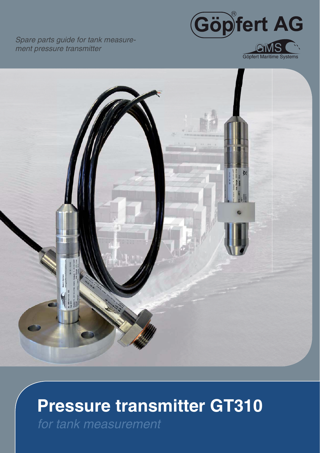Spare parts guide for tank measurement pressure transmitter







# **Pressure transmitter GT310**

for tank measurement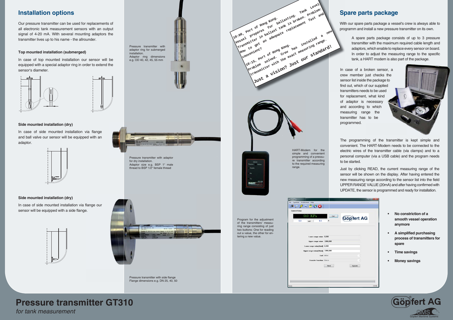Our pressure transmitter can be used for replacements of all electronic tank measurement sensors with an output signal of 4-20 mA. With several mounting adaptors the transmitter lives up to his name - the allrounder.





### **Installation options**

Pressure transmitter with side flange Flange dimensions e.g. DN 25, 40, 50

# Example of the measure transmitter can be used for replacements of<br>signal of 4-20 mA. With soveral mounting adaptors the<br>signal of 4-20 mA. With soveral mounting adaptors the<br>signal of 4-20 mA. With soveral mounting adapto DEV-HI **HART**

## **Spare parts package Sp**



Pressure transmitter with



With our spare parts package a vessel's crew is always able to With programm and install a new pressure transmitter on its own.

In case of a broken sensor, a crew member just checks the sensor list inside the package to find out, which of our supplied transmitters needs to be used for replacement, what kind of adaptor is necessary<br>and according to which and according to which measuring range the transmitter has to be beprogrammed. roken sensor<br>ust checks t<br>the package t<br>f our supplied

#### **Side mounted installation (dry)**

In case of side mounted installation via flange and ball valve our sensor will be equipped with an adaptor.



HART-Modem for the simple and convenient programming of a pressure transmitter according to the required measuring range.



#### **Side mounted installation (dry)**

In case of side mounted installation via flange our sensor will be equipped with a side flange.





A spare parts package consists of up to 3 pressure transmitter with the maximum required cable length and adaptors, which enable to replace every sensor on board. In order to adjust the measuring range to the specific tank, a HART modem is also part of the package.

The programming of the transmitter is kept simple and convenient. The HART-Modem needs to be connected to the electric wires of the transmitter cable (via clamps) and to a personal computer (via a USB cable) and the program needs to be started.

Just by clicking READ, the current measuring range of the sensor will be shown on the display. After having entered the new measuring range according to the sensor list into the field UPPER RANGE VALUE (20mA) and after having confirmed with UPDATE, the sensor is programmed and ready for installation.

- **No constriction of a smooth vessel operation anymore**
- **A simplified purchasing process of transmitters for spare**
- **Time savings**
- **Money savings**

Program for the adjustment of the transmitters' measuring range consisting of just two buttons: One for reading out a value, the other for entering a new value.

# **Pressure transmitter GT310**

*for tank measurement*